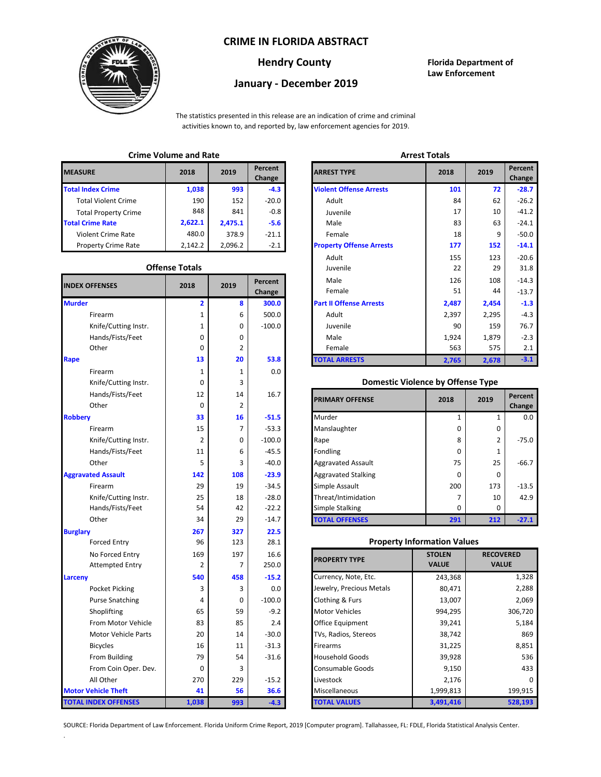## **CRIME IN FLORIDA ABSTRACT**



# **January - December 2019**

**Hendry County Florida Department of Law Enforcement**

The statistics presented in this release are an indication of crime and criminal activities known to, and reported by, law enforcement agencies for 2019.

## **Crime Volume and Rate Arrest Totals**

| <b>MEASURE</b>              | 2018    | 2019    | Percent<br>Change | <b>ARREST TYPE</b>             |
|-----------------------------|---------|---------|-------------------|--------------------------------|
| <b>Total Index Crime</b>    | 1,038   | 993     | $-4.3$            | <b>Violent Offense Arrests</b> |
| <b>Total Violent Crime</b>  | 190     | 152     | $-20.0$           | Adult                          |
| <b>Total Property Crime</b> | 848     | 841     | $-0.8$            | Juvenile                       |
| <b>Total Crime Rate</b>     | 2,622.1 | 2,475.1 | $-5.6$            | Male                           |
| <b>Violent Crime Rate</b>   | 480.0   | 378.9   | $-21.1$           | Female                         |
| <b>Property Crime Rate</b>  | 2.142.2 | 2.096.2 | $-2.1$            | <b>Property Offense Arrest</b> |

### **Offense Totals**

| <b>INDEX OFFENSES</b>       | 2018           | 2019           | Percent<br>Change | Male<br>Female                           | 126<br>51                          | 108<br>44    |                  |  |
|-----------------------------|----------------|----------------|-------------------|------------------------------------------|------------------------------------|--------------|------------------|--|
| <b>Murder</b>               | 2              | 8              | 300.0             | <b>Part II Offense Arrests</b>           | 2,487                              | 2,454        | $-1.3$           |  |
| Firearm                     | 1              | 6              | 500.0             | Adult                                    | 2,397                              | 2,295        | $-4.3$           |  |
| Knife/Cutting Instr.        | 1              | 0              | $-100.0$          | Juvenile                                 | 90                                 | 159          | 76.7             |  |
| Hands/Fists/Feet            | 0              | 0              |                   | Male                                     | 1,924                              | 1,879        | $-2.3$           |  |
| Other                       | 0              | $\overline{2}$ |                   | Female                                   | 563                                | 575          | 2.1              |  |
| Rape                        | 13             | 20             | 53.8              | <b>TOTAL ARRESTS</b>                     | 2,765                              | 2,678        | $-3.1$           |  |
| Firearm                     | $\mathbf 1$    | 1              | 0.0               |                                          |                                    |              |                  |  |
| Knife/Cutting Instr.        | 0              | 3              |                   | <b>Domestic Violence by Offense Type</b> |                                    |              |                  |  |
| Hands/Fists/Feet            | 12             | 14             | 16.7              | <b>PRIMARY OFFENSE</b>                   | 2018                               | 2019         | Percent          |  |
| Other                       | $\mathbf 0$    | 2              |                   |                                          |                                    |              | Change           |  |
| <b>Robbery</b>              | 33             | 16             | $-51.5$           | Murder                                   | 1                                  | $\mathbf{1}$ | 0.0              |  |
| Firearm                     | 15             | $\overline{7}$ | $-53.3$           | Manslaughter                             | 0                                  | 0            |                  |  |
| Knife/Cutting Instr.        | $\overline{2}$ | 0              | $-100.0$          | Rape                                     | 8                                  | 2            | $-75.0$          |  |
| Hands/Fists/Feet            | 11             | 6              | $-45.5$           | Fondling                                 | 0                                  | 1            |                  |  |
| Other                       | 5              | 3              | $-40.0$           | <b>Aggravated Assault</b>                | 75                                 | 25           | $-66.7$          |  |
| <b>Aggravated Assault</b>   | 142            | 108            | $-23.9$           | <b>Aggravated Stalking</b>               | 0                                  | $\mathbf 0$  |                  |  |
| Firearm                     | 29             | 19             | $-34.5$           | Simple Assault                           | 200                                | 173          | $-13.5$          |  |
| Knife/Cutting Instr.        | 25             | 18             | $-28.0$           | Threat/Intimidation                      | $\overline{7}$                     | 10           | 42.9             |  |
| Hands/Fists/Feet            | 54             | 42             | $-22.2$           | Simple Stalking                          | 0                                  | 0            |                  |  |
| Other                       | 34             | 29             | $-14.7$           | <b>TOTAL OFFENSES</b>                    | 291                                | 212          | $-27.1$          |  |
| <b>Burglary</b>             | 267            | 327            | 22.5              |                                          |                                    |              |                  |  |
| <b>Forced Entry</b>         | 96             | 123            | 28.1              |                                          | <b>Property Information Values</b> |              |                  |  |
| No Forced Entry             | 169            | 197            | 16.6              | <b>PROPERTY TYPE</b>                     | <b>STOLEN</b>                      |              | <b>RECOVERED</b> |  |
| <b>Attempted Entry</b>      | $\overline{2}$ | 7              | 250.0             |                                          | <b>VALUE</b>                       | <b>VALUE</b> |                  |  |
| Larceny                     | 540            | 458            | $-15.2$           | Currency, Note, Etc.                     | 243,368                            |              | 1,328            |  |
| Pocket Picking              | 3              | 3              | 0.0               | Jewelry, Precious Metals                 | 80,471                             |              | 2,288            |  |
| <b>Purse Snatching</b>      | 4              | $\mathbf 0$    | $-100.0$          | Clothing & Furs                          | 13,007                             |              | 2,069            |  |
| Shoplifting                 | 65             | 59             | $-9.2$            | <b>Motor Vehicles</b>                    | 994,295                            | 306,720      |                  |  |
| From Motor Vehicle          | 83             | 85             | 2.4               | Office Equipment                         | 39,241                             | 5,184        |                  |  |
| Motor Vehicle Parts         | 20             | 14             | $-30.0$           | TVs, Radios, Stereos                     | 38,742                             |              | 869              |  |
| <b>Bicycles</b>             | 16             | 11             | $-31.3$           | Firearms                                 | 31,225                             | 8,851        |                  |  |
| From Building               | 79             | 54             | $-31.6$           | <b>Household Goods</b>                   | 39,928                             | 536          |                  |  |
| From Coin Oper. Dev.        | $\mathbf 0$    | 3              |                   | Consumable Goods                         | 9,150                              | 433          |                  |  |
| All Other                   | 270            | 229            | $-15.2$           | Livestock                                | 2,176                              |              |                  |  |
| <b>Motor Vehicle Theft</b>  | 41             | 56             | 36.6              | Miscellaneous                            | 1,999,813                          |              | 199,915          |  |
| <b>TOTAL INDEX OFFENSES</b> | 1,038          | 993            | $-4.3$            | <b>TOTAL VALUES</b>                      | 3,491,416                          |              | 528,193          |  |

.

| CHILLE VOIDING AND INSIG |                       |                |                   | AU COL IVIGIO                   |       |       |                   |  |
|--------------------------|-----------------------|----------------|-------------------|---------------------------------|-------|-------|-------------------|--|
| RΕ                       | 2018                  | 2019           | Percent<br>Change | <b>ARREST TYPE</b>              | 2018  | 2019  | Percent<br>Change |  |
| dex Crime                | 1,038                 | 993            | $-4.3$            | <b>Violent Offense Arrests</b>  | 101   | 72    | $-28.7$           |  |
| ıl Violent Crime         | 190                   | 152            | $-20.0$           | Adult                           | 84    | 62    | $-26.2$           |  |
| Il Property Crime        | 848                   | 841            | $-0.8$            | Juvenile                        | 17    | 10    | $-41.2$           |  |
| me Rate                  | 2,622.1               | 2,475.1        | $-5.6$            | Male                            | 83    | 63    | $-24.1$           |  |
| ent Crime Rate           | 480.0                 | 378.9          | $-21.1$           | Female                          | 18    | 9     | $-50.0$           |  |
| erty Crime Rate          | 2,142.2               | 2,096.2        | $-2.1$            | <b>Property Offense Arrests</b> | 177   | 152   | $-14.1$           |  |
|                          |                       |                |                   | Adult                           | 155   | 123   | $-20.6$           |  |
|                          | <b>Offense Totals</b> |                |                   | Juvenile                        | 22    | 29    | 31.8              |  |
| <b>FFENSES</b>           | 2018                  | 2019           | Percent           | Male                            | 126   | 108   | $-14.3$           |  |
|                          |                       |                | Change            | Female                          | 51    | 44    | $-13.7$           |  |
|                          | $\overline{2}$        | 8              | 300.0             | <b>Part II Offense Arrests</b>  | 2,487 | 2,454 | $-1.3$            |  |
| Firearm                  | 1                     | 6              | 500.0             | Adult                           | 2,397 | 2,295 | $-4.3$            |  |
| Knife/Cutting Instr.     | 1                     | 0              | $-100.0$          | Juvenile                        | 90    | 159   | 76.7              |  |
| Hands/Fists/Feet         | 0                     | 0              |                   | Male                            | 1,924 | 1,879 | $-2.3$            |  |
| Other                    | 0                     | $\overline{2}$ |                   | Female                          | 563   | 575   | 2.1               |  |
|                          | 13                    | 20             | 53.8              | <b>TOTAL ARRESTS</b>            | 2,765 | 2,678 | $-3.1$            |  |
|                          |                       |                |                   |                                 |       |       |                   |  |

#### 0 **Domestic Violence by Offense Type**

| Hands/Fists/Feet<br>Other | 12<br>0 | 14  | 16.7     | <b>PRIMARY OFFENSE</b>     | 2018     | 2019 | Percent<br>Change |
|---------------------------|---------|-----|----------|----------------------------|----------|------|-------------------|
|                           | 33      | 16  | $-51.5$  | Murder                     |          |      | 0.0               |
| Firearm                   | 15      |     | $-53.3$  | Manslaughter               | $\Omega$ | 0    |                   |
| Knife/Cutting Instr.      | 2       | 0   | $-100.0$ | Rape                       | 8        | 2    | $-75.0$           |
| Hands/Fists/Feet          | 11      | 6   | $-45.5$  | Fondling                   | 0        |      |                   |
| Other                     | 5       | 3   | $-40.0$  | <b>Aggravated Assault</b>  | 75       | 25   | $-66.7$           |
| ted Assault               | 142     | 108 | $-23.9$  | <b>Aggravated Stalking</b> | 0        | 0    |                   |
| Firearm                   | 29      | 19  | $-34.5$  | Simple Assault             | 200      | 173  | $-13.5$           |
| Knife/Cutting Instr.      | 25      | 18  | $-28.0$  | Threat/Intimidation        |          | 10   | 42.9              |
| Hands/Fists/Feet          | 54      | 42  | $-22.2$  | Simple Stalking            | $\Omega$ | 0    |                   |
| Other                     | 34      | 29  | $-14.7$  | <b>TOTAL OFFENSES</b>      | 291      | 212  | $-27.1$           |

## **Property Information Values**

| 169      | 197 | 16.6     | <b>PROPERTY TYPE</b>     | <b>STOLEN</b> | <b>RECOVERED</b> |
|----------|-----|----------|--------------------------|---------------|------------------|
| 2        |     | 250.0    |                          | <b>VALUE</b>  | <b>VALUE</b>     |
| 540      | 458 | $-15.2$  | Currency, Note, Etc.     | 243,368       | 1,328            |
| 3        | 3   | 0.0      | Jewelry, Precious Metals | 80,471        | 2,288            |
| 4        | 0   | $-100.0$ | Clothing & Furs          | 13,007        | 2,069            |
| 65       | 59  | $-9.2$   | <b>Motor Vehicles</b>    | 994,295       | 306,720          |
| 83       | 85  | 2.4      | Office Equipment         | 39,241        | 5,184            |
| 20       | 14  | $-30.0$  | TVs, Radios, Stereos     | 38,742        | 869              |
| 16       | 11  | $-31.3$  | <b>Firearms</b>          | 31,225        | 8,851            |
| 79       | 54  | $-31.6$  | <b>Household Goods</b>   | 39,928        | 536              |
| $\Omega$ | 3   |          | <b>Consumable Goods</b>  | 9,150         | 433              |
| 270      | 229 | $-15.2$  | Livestock                | 2,176         | o                |
| 41       | 56  | 36.6     | Miscellaneous            | 1,999,813     | 199,915          |
| 038      | 993 | $-4.3$   | <b>TOTAL VALUES</b>      | 3,491,416     | 528,193          |

SOURCE: Florida Department of Law Enforcement. Florida Uniform Crime Report, 2019 [Computer program]. Tallahassee, FL: FDLE, Florida Statistical Analysis Center.